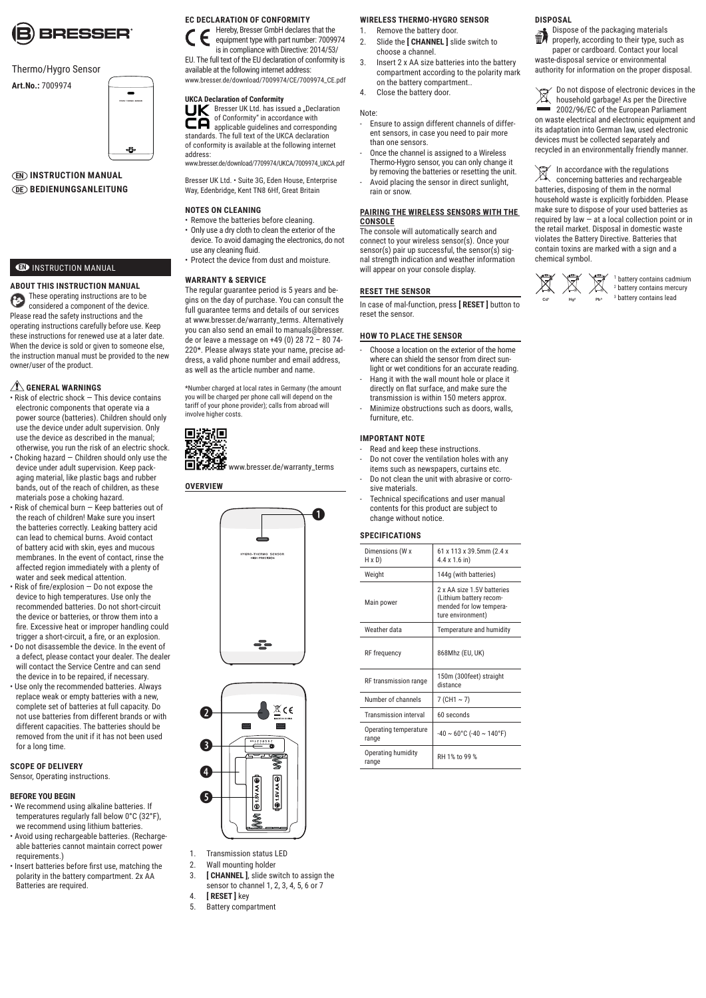

#### Thermo/Hygro Sensor

**Art.No.:** 7009974



#### **EN INSTRUCTION MANUAL DE BEDIENUNGSANLEITUNG**

#### **ED** INSTRUCTION MANUAL

**ABOUT THIS INSTRUCTION MANUAL** These operating instructions are to be G considered a component of the device. Please read the safety instructions and the operating instructions carefully before use. Keep these instructions for renewed use at a later date. When the device is sold or given to someone else. the instruction manual must be provided to the new owner/user of the product.

#### **GENERAL WARNINGS**

- Risk of electric shock This device contains electronic components that operate via a power source (batteries). Children should only use the device under adult supervision. Only use the device as described in the manual; otherwise, you run the risk of an electric shock.
- Choking hazard Children should only use the device under adult supervision. Keep packaging material, like plastic bags and rubber bands, out of the reach of children, as these materials pose a choking hazard.
- Risk of chemical burn Keep batteries out of the reach of children! Make sure you insert the batteries correctly. Leaking battery acid can lead to chemical burns. Avoid contact of battery acid with skin, eyes and mucous membranes. In the event of contact, rinse the affected region immediately with a plenty of water and seek medical attention.
- Risk of fire/explosion Do not expose the device to high temperatures. Use only the recommended batteries. Do not short-circuit the device or batteries, or throw them into a fire. Excessive heat or improper handling could trigger a short-circuit, a fire, or an explosion. • Do not disassemble the device. In the event of
- a defect, please contact your dealer. The dealer will contact the Service Centre and can send the device in to be repaired, if necessary.
- Use only the recommended batteries. Always replace weak or empty batteries with a new complete set of batteries at full capacity. Do not use batteries from different brands or with different capacities. The batteries should be removed from the unit if it has not been used for a long time.

#### **SCOPE OF DELIVERY**

Sensor, Operating instructions.

#### **BEFORE YOU BEGIN**

- We recommend using alkaline batteries. If temperatures regularly fall below 0°C (32°F), we recommend using lithium batteries.
- Avoid using rechargeable batteries. (Rechargeable batteries cannot maintain correct power requirements.)
- Insert batteries before first use, matching the polarity in the battery compartment. 2x AA Batteries are required.

### **EC DECLARATION OF CONFORMITY**

Hereby, Bresser GmbH declares that the equipment type with part number: 7009974 is in compliance with Directive: 2014/53/

EU. The full text of the EU declaration of conformity is available at the following internet address: www.bresser.de/download/7009974/CE/7009974\_CE.pdf

#### **UKCA Declaration of Conformity**

**LIK** Bresser UK Ltd. has issued a "Declaration of Conformity" in accordance with applicable guidelines and corresponding standards. The full text of the UKCA declaration of conformity is available at the following internet address: www.bresser.de/download/7709974/UKCA/7009974\_UKCA.pdf

Bresser UK Ltd. • Suite 3G, Eden House, Enterprise

Way, Edenbridge, Kent TN8 6Hf, Great Britain

#### **NOTES ON CLEANING**

- Remove the batteries before cleaning. • Only use a dry cloth to clean the exterior of the
- device. To avoid damaging the electronics, do not use any cleaning fluid.
- Protect the device from dust and moisture.

#### **WARRANTY & SERVICE**

The regular guarantee period is 5 years and begins on the day of purchase. You can consult the full guarantee terms and details of our services at www.bresser.de/warranty\_terms. Alternatively you can also send an email to manuals@bresser. de or leave a message on +49 (0) 28 72 - 80 74-220\*. Please always state your name, precise address, a valid phone number and email address, as well as the article number and name.

\*Number charged at local rates in Germany (the amount you will be charged per phone call will depend on the tariff of your phone provider); calls from abroad will involve higher costs.

# 回波太原

**DEXAME** www.bresser.de/warranty\_terms

#### **OVERVIEW**





- 1. Transmission status LED
- 2. Wall mounting holder
- 3. **[ CHANNEL ]**, slide switch to assign the sensor to channel 1, 2, 3, 4, 5, 6 or 7
- 4. **[ RESET ]** key
- 5. Battery compartment

#### **WIRELESS THERMO-HYGRO SENSOR**

- 1. Remove the battery door. 2. Slide the **[ CHANNEL ]** slide switch to choose a channel.
- 3. Insert 2 x AA size batteries into the battery compartment according to the polarity mark on the battery compartment..
- 4. Close the battery door.

#### Note:

- Ensure to assign different channels of different sensors, in case you need to pair more than one sensors.
- Once the channel is assigned to a Wireless Thermo-Hygro sensor, you can only change it
- by removing the batteries or resetting the unit. Avoid placing the sensor in direct sunlight, rain or snow.

#### **PAIRING THE WIRELESS SENSORS WITH THE CONSOLE**

The console will automatically search and connect to your wireless sensor(s). Once your sensor(s) pair up successful, the sensor(s) signal strength indication and weather information will appear on your console display

#### **RESET THE SENSOR**

In case of mal-function, press **[ RESET ]** button to reset the sensor.

#### **HOW TO PLACE THE SENSOR**

- Choose a location on the exterior of the home where can shield the sensor from direct sunlight or wet conditions for an accurate reading.
- Hang it with the wall mount hole or place it directly on flat surface, and make sure the transmission is within 150 meters approx.
- Minimize obstructions such as doors, walls, furniture, etc.

#### **IMPORTANT NOTE**

- Read and keep these instructions.
- Do not cover the ventilation holes with any items such as newspapers, curtains etc. Do not clean the unit with abrasive or corro sive materials.
- Technical specifications and user manual contents for this product are subject to change without notice.

#### **SPECIFICATIONS**

| Dimensions (W x<br>H x D)      | 61 x 113 x 39.5mm (2.4 x<br>$4.4 \times 1.6$ in)                                                      |
|--------------------------------|-------------------------------------------------------------------------------------------------------|
| Weight                         | 144g (with batteries)                                                                                 |
| Main power                     | 2 x AA size 1 5V hatteries<br>(Lithium battery recom-<br>mended for low tempera-<br>ture environment) |
| Weather data                   | Temperature and humidity                                                                              |
| RF frequency                   | 868Mhz (EU, UK)                                                                                       |
| RF transmission range          | 150m (300feet) straight<br>distance                                                                   |
| Number of channels             | $7$ (CH1 ~ 7)                                                                                         |
| <b>Transmission interval</b>   | 60 seconds                                                                                            |
| Operating temperature<br>range | $-40 \sim 60^{\circ}$ C ( $-40 \sim 140^{\circ}$ F)                                                   |
| Operating humidity<br>range    | RH 1% to 99 %                                                                                         |

#### **DISPOSAL**

Dispose of the packaging materials properly, according to their type, such as

paper or cardboard. Contact your local waste-disposal service or environmental authority for information on the proper disposal.

Do not dispose of electronic devices in the ⊠ household garbage! As per the Directive 2002/96/EC of the European Parliament on waste electrical and electronic equipment and its adaptation into German law, used electronic devices must be collected separately and recycled in an environmentally friendly manner.

In accordance with the regulations ⊠ concerning batteries and rechargeable batteries, disposing of them in the normal household waste is explicitly forbidden. Please make sure to dispose of your used batteries as required by law  $-$  at a local collection point or in the retail market. Disposal in domestic waste violates the Battery Directive. Batteries that contain toxins are marked with a sign and a chemical symbol.



1 battery contains cadmium 2 battery contains mercury 3 battery contains lead